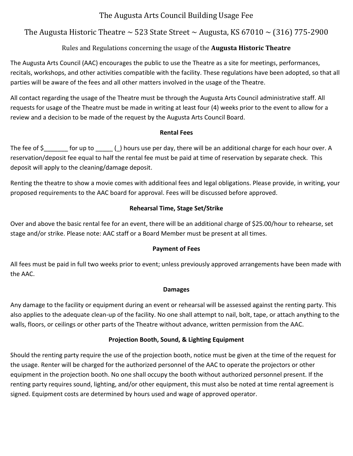# The Augusta Arts Council Building Usage Fee

# The Augusta Historic Theatre  $\sim$  523 State Street  $\sim$  Augusta, KS 67010  $\sim$  (316) 775-2900

## Rules and Regulations concerning the usage of the **Augusta Historic Theatre**

The Augusta Arts Council (AAC) encourages the public to use the Theatre as a site for meetings, performances, recitals, workshops, and other activities compatible with the facility. These regulations have been adopted, so that all parties will be aware of the fees and all other matters involved in the usage of the Theatre.

All contact regarding the usage of the Theatre must be through the Augusta Arts Council administrative staff. All requests for usage of the Theatre must be made in writing at least four (4) weeks prior to the event to allow for a review and a decision to be made of the request by the Augusta Arts Council Board.

#### **Rental Fees**

The fee of  $\zeta$  for up to  $\zeta$  ) hours use per day, there will be an additional charge for each hour over. A reservation/deposit fee equal to half the rental fee must be paid at time of reservation by separate check. This deposit will apply to the cleaning/damage deposit.

Renting the theatre to show a movie comes with additional fees and legal obligations. Please provide, in writing, your proposed requirements to the AAC board for approval. Fees will be discussed before approved.

#### **Rehearsal Time, Stage Set/Strike**

Over and above the basic rental fee for an event, there will be an additional charge of \$25.00/hour to rehearse, set stage and/or strike. Please note: AAC staff or a Board Member must be present at all times.

#### **Payment of Fees**

All fees must be paid in full two weeks prior to event; unless previously approved arrangements have been made with the AAC.

#### **Damages**

Any damage to the facility or equipment during an event or rehearsal will be assessed against the renting party. This also applies to the adequate clean-up of the facility. No one shall attempt to nail, bolt, tape, or attach anything to the walls, floors, or ceilings or other parts of the Theatre without advance, written permission from the AAC.

## **Projection Booth, Sound, & Lighting Equipment**

Should the renting party require the use of the projection booth, notice must be given at the time of the request for the usage. Renter will be charged for the authorized personnel of the AAC to operate the projectors or other equipment in the projection booth. No one shall occupy the booth without authorized personnel present. If the renting party requires sound, lighting, and/or other equipment, this must also be noted at time rental agreement is signed. Equipment costs are determined by hours used and wage of approved operator.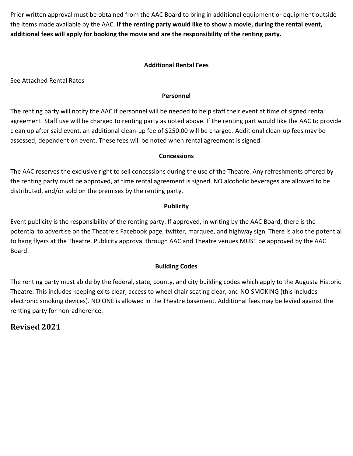Prior written approval must be obtained from the AAC Board to bring in additional equipment or equipment outside the items made available by the AAC. **If the renting party would like to show a movie, during the rental event, additional fees will apply for booking the movie and are the responsibility of the renting party.**

#### **Additional Rental Fees**

See Attached Rental Rates

#### **Personnel**

The renting party will notify the AAC if personnel will be needed to help staff their event at time of signed rental agreement. Staff use will be charged to renting party as noted above. If the renting part would like the AAC to provide clean up after said event, an additional clean-up fee of \$250.00 will be charged. Additional clean-up fees may be assessed, dependent on event. These fees will be noted when rental agreement is signed.

#### **Concessions**

The AAC reserves the exclusive right to sell concessions during the use of the Theatre. Any refreshments offered by the renting party must be approved, at time rental agreement is signed. NO alcoholic beverages are allowed to be distributed, and/or sold on the premises by the renting party.

#### **Publicity**

Event publicity is the responsibility of the renting party. If approved, in writing by the AAC Board, there is the potential to advertise on the Theatre's Facebook page, twitter, marquee, and highway sign. There is also the potential to hang flyers at the Theatre. Publicity approval through AAC and Theatre venues MUST be approved by the AAC Board.

## **Building Codes**

The renting party must abide by the federal, state, county, and city building codes which apply to the Augusta Historic Theatre. This includes keeping exits clear, access to wheel chair seating clear, and NO SMOKING (this includes electronic smoking devices). NO ONE is allowed in the Theatre basement. Additional fees may be levied against the renting party for non-adherence.

# **Revised 2021**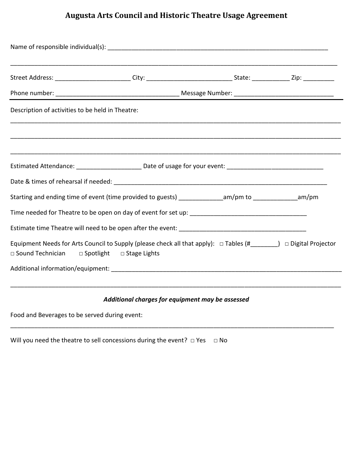# **Augusta Arts Council and Historic Theatre Usage Agreement**

|                                                  | Street Address: __________________________City: ________________________________State: _______________Zip: ____________________________ |  |  |  |  |  |
|--------------------------------------------------|-----------------------------------------------------------------------------------------------------------------------------------------|--|--|--|--|--|
|                                                  |                                                                                                                                         |  |  |  |  |  |
| Description of activities to be held in Theatre: |                                                                                                                                         |  |  |  |  |  |
|                                                  |                                                                                                                                         |  |  |  |  |  |
|                                                  |                                                                                                                                         |  |  |  |  |  |
|                                                  |                                                                                                                                         |  |  |  |  |  |
|                                                  | Starting and ending time of event (time provided to guests) ________________am/pm to _______________am/pm                               |  |  |  |  |  |
|                                                  |                                                                                                                                         |  |  |  |  |  |
|                                                  |                                                                                                                                         |  |  |  |  |  |
| □ Sound Technician □ Spotlight □ Stage Lights    | Equipment Needs for Arts Council to Supply (please check all that apply): □ Tables (#_______) □ Digital Projector                       |  |  |  |  |  |
|                                                  |                                                                                                                                         |  |  |  |  |  |
|                                                  |                                                                                                                                         |  |  |  |  |  |

## *Additional charges for equipment may be assessed*

\_\_\_\_\_\_\_\_\_\_\_\_\_\_\_\_\_\_\_\_\_\_\_\_\_\_\_\_\_\_\_\_\_\_\_\_\_\_\_\_\_\_\_\_\_\_\_\_\_\_\_\_\_\_\_\_\_\_\_\_\_\_\_\_\_\_\_\_\_\_\_\_\_\_\_\_\_\_\_\_\_\_\_\_\_\_\_\_\_\_\_\_\_\_

Food and Beverages to be served during event:

Will you need the theatre to sell concessions during the event?  $\Box$  Yes  $\Box$  No